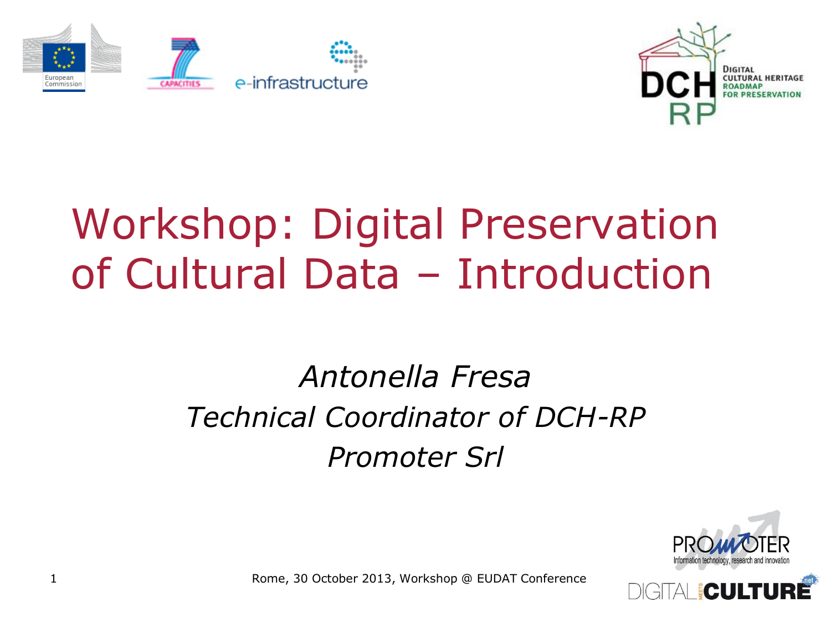



# Workshop: Digital Preservation of Cultural Data – Introduction

#### *Antonella Fresa Technical Coordinator of DCH-RP Promoter Srl*



Rome, 30 October 2013, Workshop @ EUDAT Conference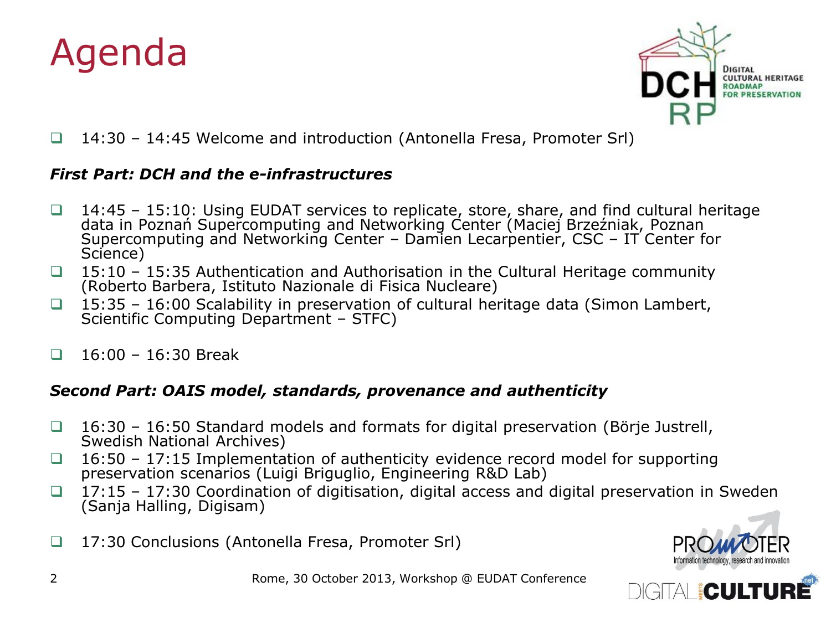



14:30 – 14:45 Welcome and introduction (Antonella Fresa, Promoter Srl)

#### *First Part: DCH and the e-infrastructures*

- □ 14:45 15:10: Using EUDAT services to replicate, store, share, and find cultural heritage data in Poznań Supercomputing and Networking Center (Maciej Brzeźniak, Poznan Supercomputing and Networking Center – Damien Lecarpentier, CSC – IT Center for Science)
- $\Box$  15:10 15:35 Authentication and Authorisation in the Cultural Heritage community (Roberto Barbera, Istituto Nazionale di Fisica Nucleare)
- $\Box$  15:35 16:00 Scalability in preservation of cultural heritage data (Simon Lambert, Scientific Computing Department - STFC)
- $\Box$  16:00 16:30 Break

#### *Second Part: OAIS model, standards, provenance and authenticity*

- $\Box$  16:30 16:50 Standard models and formats for digital preservation (Börje Justrell, Swedish National Archives)
- $\Box$  16:50 17:15 Implementation of authenticity evidence record model for supporting preservation scenarios (Luigi Briguglio, Engineering R&D Lab)
- $\Box$  17:15 17:30 Coordination of digitisation, digital access and digital preservation in Sweden (Sanja Halling, Digisam)
- 17:30 Conclusions (Antonella Fresa, Promoter Srl)



**E CAULLER**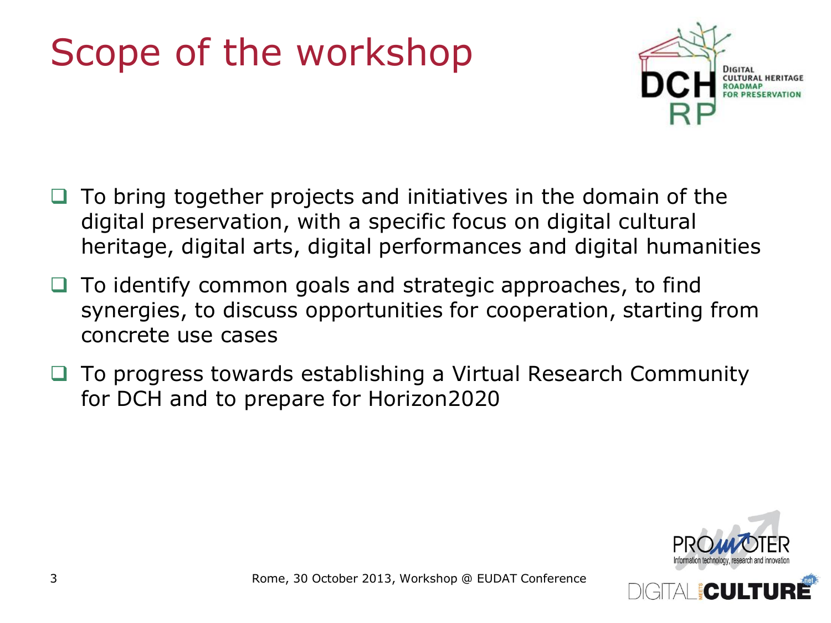# Scope of the workshop



- To bring together projects and initiatives in the domain of the digital preservation, with a specific focus on digital cultural heritage, digital arts, digital performances and digital humanities
- To identify common goals and strategic approaches, to find synergies, to discuss opportunities for cooperation, starting from concrete use cases
- To progress towards establishing a Virtual Research Community for DCH and to prepare for Horizon2020



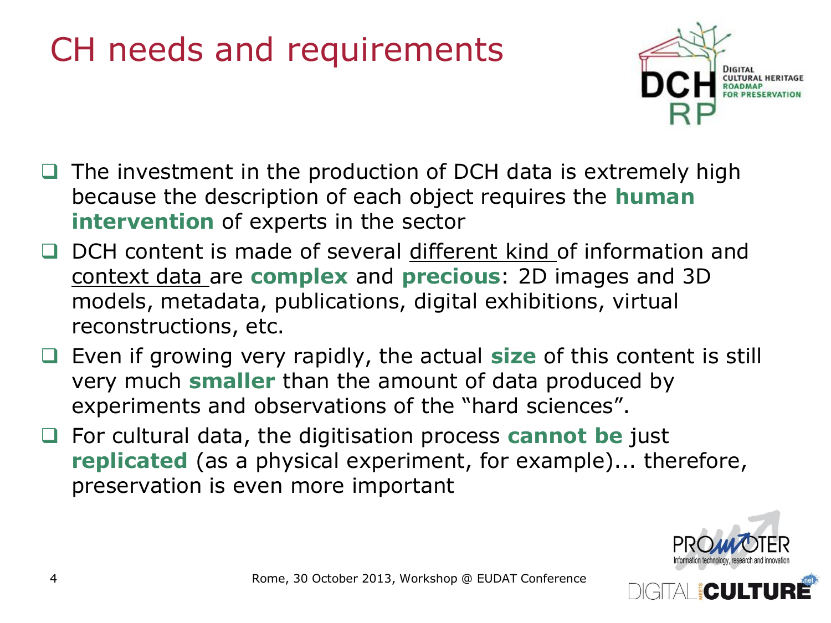#### CH needs and requirements



- $\Box$  The investment in the production of DCH data is extremely high because the description of each object requires the **human intervention** of experts in the sector
- □ DCH content is made of several different kind of information and context data are **complex** and **precious**: 2D images and 3D models, metadata, publications, digital exhibitions, virtual reconstructions, etc.
- Even if growing very rapidly, the actual **size** of this content is still very much **smaller** than the amount of data produced by experiments and observations of the "hard sciences".
- For cultural data, the digitisation process **cannot be** just **replicated** (as a physical experiment, for example)... therefore, preservation is even more important

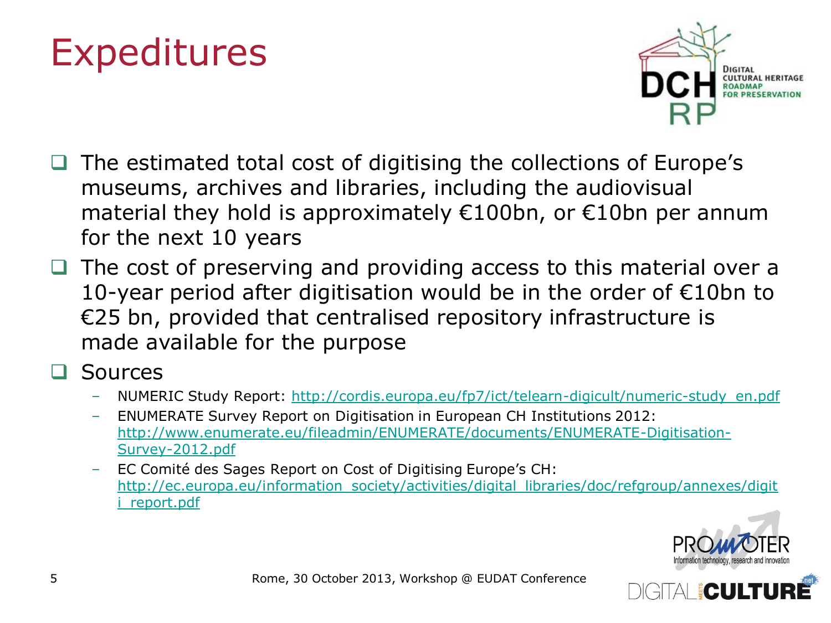# Expeditures



- The estimated total cost of digitising the collections of Europe's museums, archives and libraries, including the audiovisual material they hold is approximately €100bn, or €10bn per annum for the next 10 years
- The cost of preserving and providing access to this material over a 10-year period after digitisation would be in the order of €10bn to €25 bn, provided that centralised repository infrastructure is made available for the purpose
- Sources
	- NUMERIC Study Report: [http://cordis.europa.eu/fp7/ict/telearn-digicult/numeric-study\\_en.pdf](http://cordis.europa.eu/fp7/ict/telearn-digicult/numeric-study_en.pdf)
	- ENUMERATE Survey Report on Digitisation in European CH Institutions 2012: [http://www.enumerate.eu/fileadmin/ENUMERATE/documents/ENUMERATE-Digitisation-](http://www.enumerate.eu/fileadmin/ENUMERATE/documents/ENUMERATE-Digitisation-Survey-2012.pdf)[Survey-2012.pdf](http://www.enumerate.eu/fileadmin/ENUMERATE/documents/ENUMERATE-Digitisation-Survey-2012.pdf)
	- EC Comité des Sages Report on Cost of Digitising Europe's CH: [http://ec.europa.eu/information\\_society/activities/digital\\_libraries/doc/refgroup/annexes/digit](http://ec.europa.eu/information_society/activities/digital_libraries/doc/refgroup/annexes/digiti_report.pdf) report.pdf



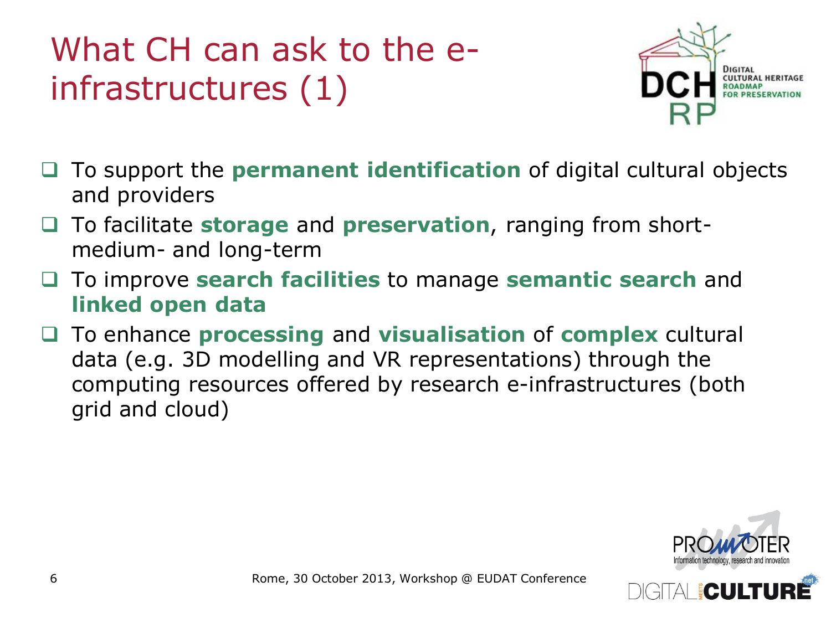## What CH can ask to the einfrastructures (1)



- To support the **permanent identification** of digital cultural objects and providers
- To facilitate **storage** and **preservation**, ranging from shortmedium- and long-term
- To improve **search facilities** to manage **semantic search** and **linked open data**
- To enhance **processing** and **visualisation** of **complex** cultural data (e.g. 3D modelling and VR representations) through the computing resources offered by research e-infrastructures (both grid and cloud)



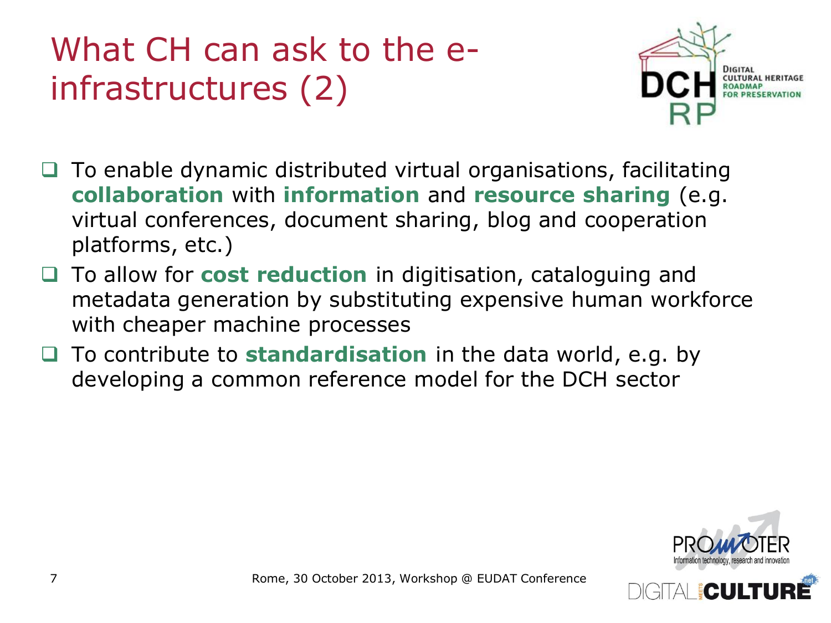## What CH can ask to the einfrastructures (2)



- $\Box$  To enable dynamic distributed virtual organisations, facilitating **collaboration** with **information** and **resource sharing** (e.g. virtual conferences, document sharing, blog and cooperation platforms, etc.)
- To allow for **cost reduction** in digitisation, cataloguing and metadata generation by substituting expensive human workforce with cheaper machine processes
- To contribute to **standardisation** in the data world, e.g. by developing a common reference model for the DCH sector



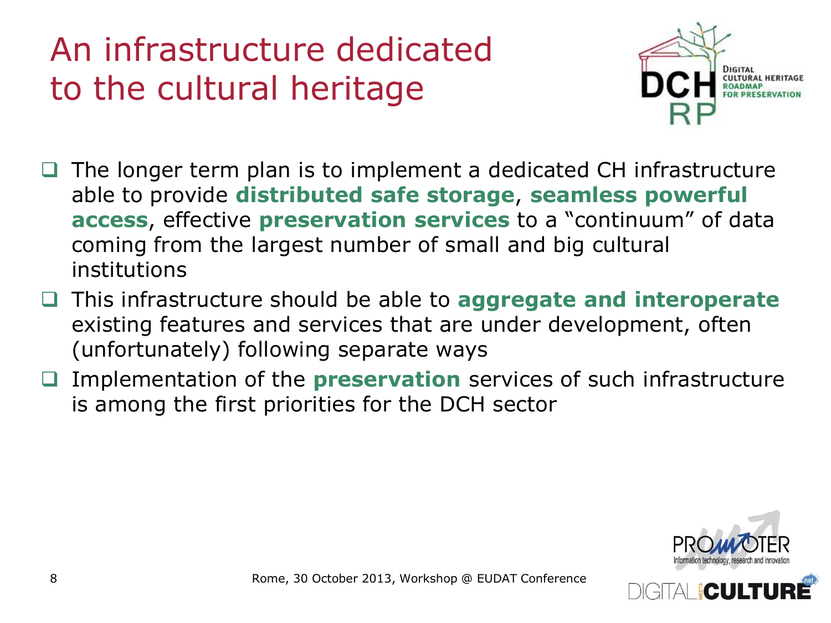### An infrastructure dedicated to the cultural heritage



- The longer term plan is to implement a dedicated CH infrastructure able to provide **distributed safe storage**, **seamless powerful access**, effective **preservation services** to a "continuum" of data coming from the largest number of small and big cultural institutions
- This infrastructure should be able to **aggregate and interoperate**  existing features and services that are under development, often (unfortunately) following separate ways
- Implementation of the **preservation** services of such infrastructure is among the first priorities for the DCH sector



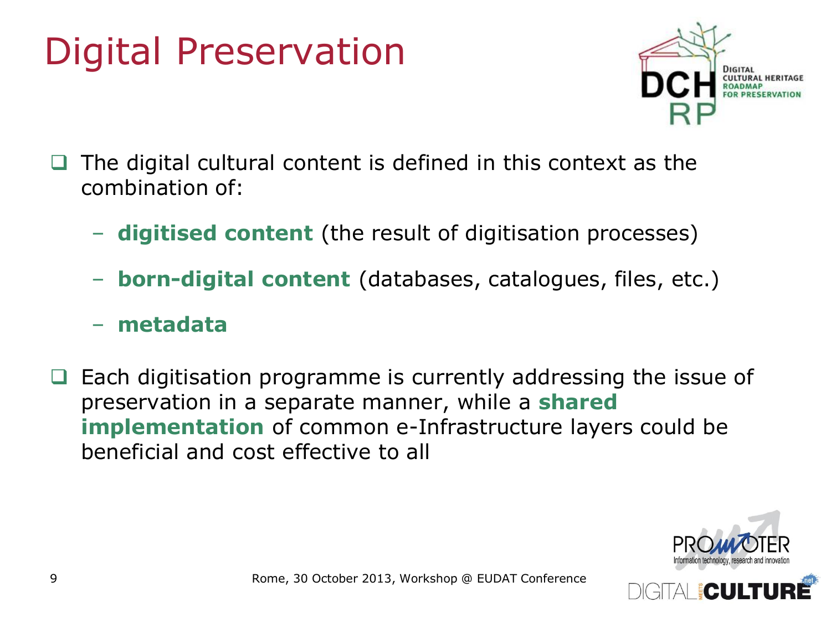# Digital Preservation



- The digital cultural content is defined in this context as the combination of:
	- **digitised content** (the result of digitisation processes)
	- **born-digital content** (databases, catalogues, files, etc.)
	- **metadata**
- Each digitisation programme is currently addressing the issue of preservation in a separate manner, while a **shared implementation** of common e-Infrastructure layers could be beneficial and cost effective to all

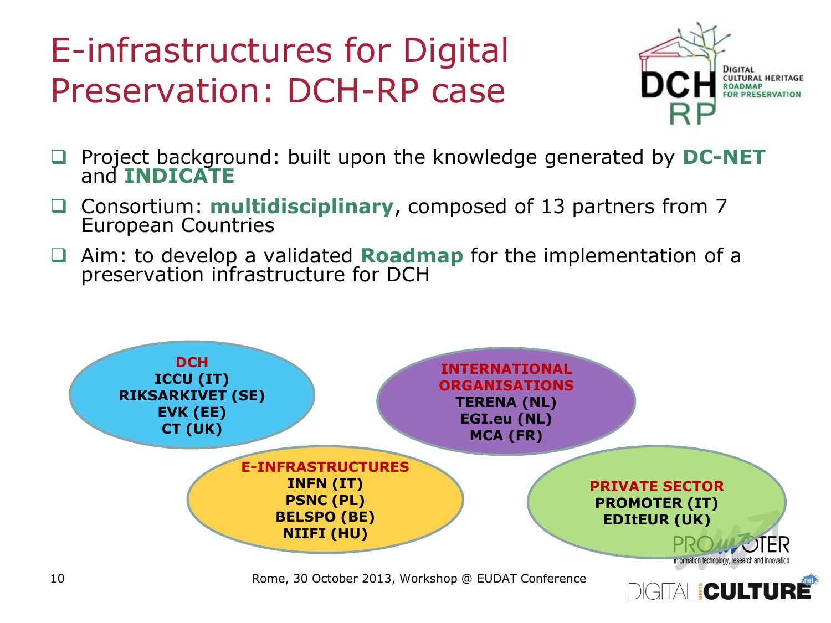## E-infrastructures for Digital Preservation: DCH-RP case



- □ Project background: built upon the knowledge generated by DC-NET and **INDICATE**
- Consortium: **multidisciplinary**, composed of 13 partners from 7 European Countries
- Aim: to develop a validated **Roadmap** for the implementation of a preservation infrastructure for DCH

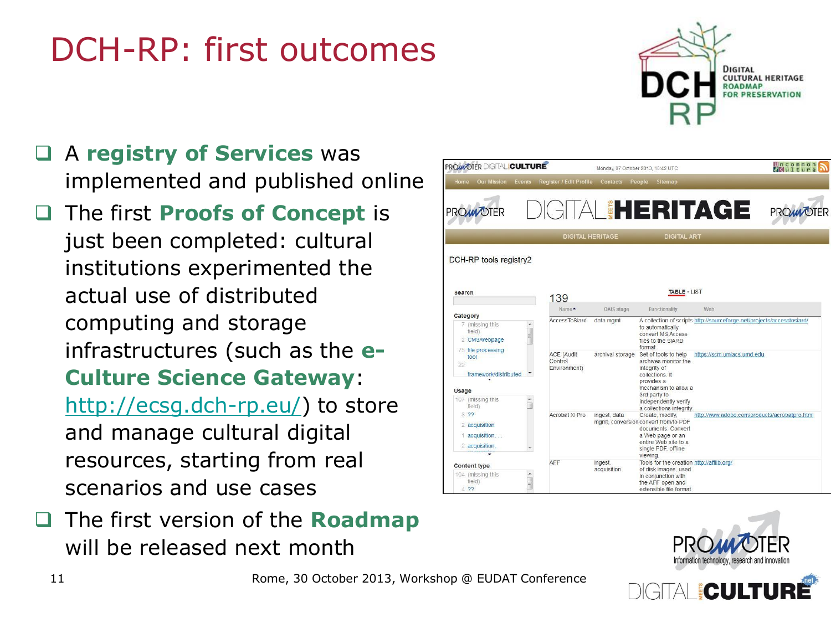## DCH-RP: first outcomes



- A **registry of Services** was implemented and published online
- The first **Proofs of Concept** is just been completed: cultural institutions experimented the actual use of distributed computing and storage infrastructures (such as the **e-Culture Science Gateway**: <http://ecsg.dch-rp.eu/>) to store and manage cultural digital resources, starting from real scenarios and use cases
- **The first version of the Roadmap** will be released next month





**EQUERU**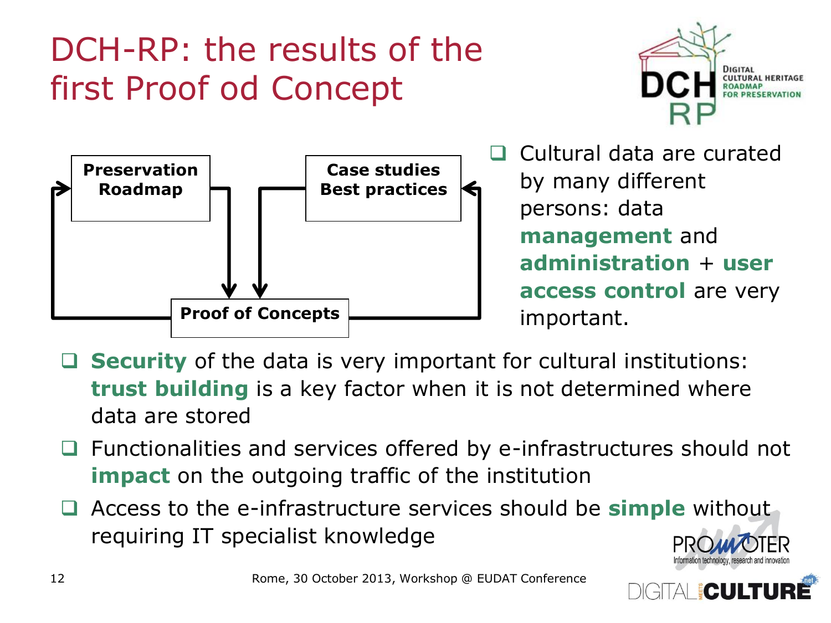### DCH-RP: the results of the first Proof od Concept





 Cultural data are curated by many different persons: data **management** and **administration** + **user access control** are very important.

- **Security** of the data is very important for cultural institutions: **trust building** is a key factor when it is not determined where data are stored
- $\Box$  Functionalities and services offered by e-infrastructures should not **impact** on the outgoing traffic of the institution
- Access to the e-infrastructure services should be **simple** without requiring IT specialist knowledge

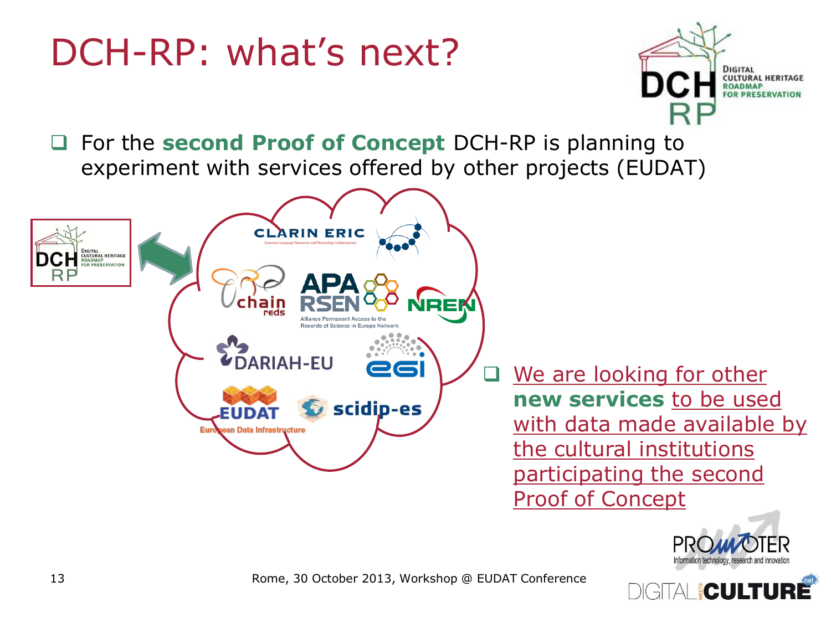# DCH-RP: what's next?



 For the **second Proof of Concept** DCH-RP is planning to experiment with services offered by other projects (EUDAT)





AI FOULTU

Rome, 30 October 2013, Workshop @ EUDAT Conference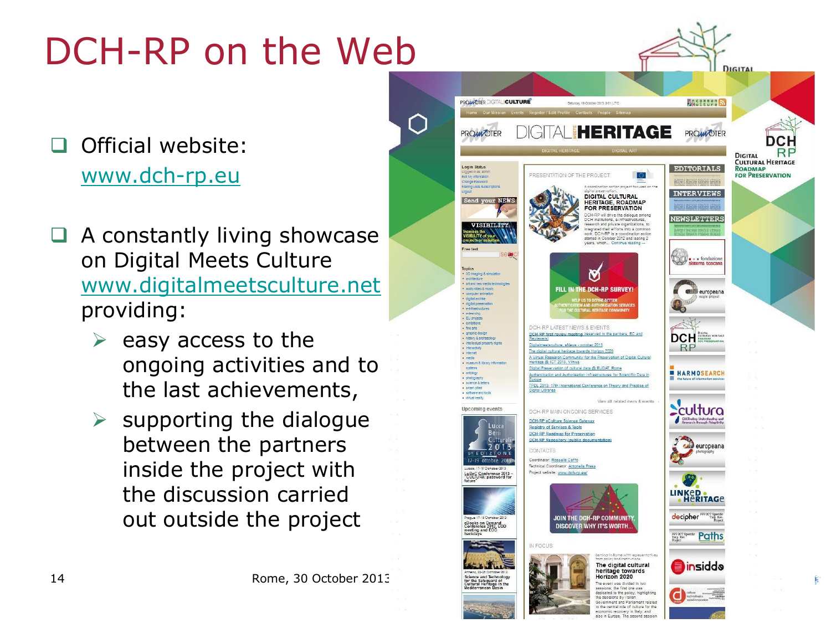# DCH-RP on the Web

#### Official website: [www.dch-rp.eu](http://www.dch-rp.eu/)

- A constantly living showcase on Digital Meets Culture [www.digitalmeetsculture.net](http://www.digitalmeetsculture.net/) providing:
	- easy access to the ongoing activities and to the last achievements,
	- $\triangleright$  supporting the dialogue between the partners inside the project with the discussion carried out outside the project



Horizon 2020 he event was divided in two essions; the first one was edicated to the policy, high the decisions by Italian<br>Government and Parliament relate the central role of culture for th ic recovery i<mark>n Italy, and</mark><br>Europe. The second sess

DIGITAL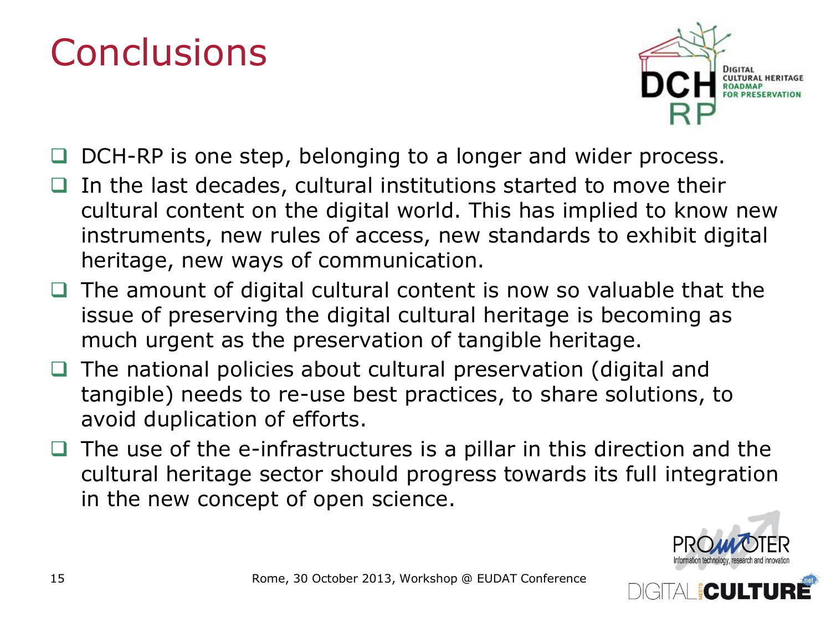# **Conclusions**



- DCH-RP is one step, belonging to a longer and wider process.
- In the last decades, cultural institutions started to move their cultural content on the digital world. This has implied to know new instruments, new rules of access, new standards to exhibit digital heritage, new ways of communication.
- The amount of digital cultural content is now so valuable that the issue of preserving the digital cultural heritage is becoming as much urgent as the preservation of tangible heritage.
- The national policies about cultural preservation (digital and tangible) needs to re-use best practices, to share solutions, to avoid duplication of efforts.
- The use of the e-infrastructures is a pillar in this direction and the cultural heritage sector should progress towards its full integration in the new concept of open science.



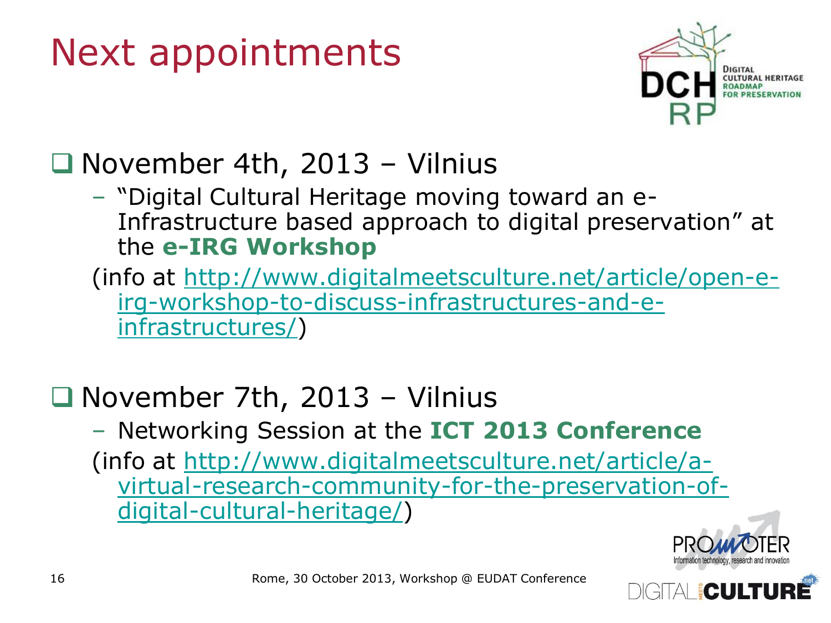# Next appointments



#### $\Box$  November 4th, 2013 - Vilnius

- "Digital Cultural Heritage moving toward an e-Infrastructure based approach to digital preservation" at the **e-IRG Workshop**
- (info at [http://www.digitalmeetsculture.net/article/open-e](http://www.digitalmeetsculture.net/article/open-e-irg-workshop-to-discuss-infrastructures-and-e-infrastructures/)[irg-workshop-to-discuss-infrastructures-and-e](http://www.digitalmeetsculture.net/article/open-e-irg-workshop-to-discuss-infrastructures-and-e-infrastructures/)[infrastructures/\)](http://www.digitalmeetsculture.net/article/open-e-irg-workshop-to-discuss-infrastructures-and-e-infrastructures/)

#### $\Box$  November 7th, 2013 – Vilnius

– Networking Session at the **ICT 2013 Conference** (info at [http://www.digitalmeetsculture.net/article/a](http://www.digitalmeetsculture.net/article/a-virtual-research-community-for-the-preservation-of-digital-cultural-heritage/)[virtual-research-community-for-the-preservation-of](http://www.digitalmeetsculture.net/article/a-virtual-research-community-for-the-preservation-of-digital-cultural-heritage/)[digital-cultural-heritage/](http://www.digitalmeetsculture.net/article/a-virtual-research-community-for-the-preservation-of-digital-cultural-heritage/))